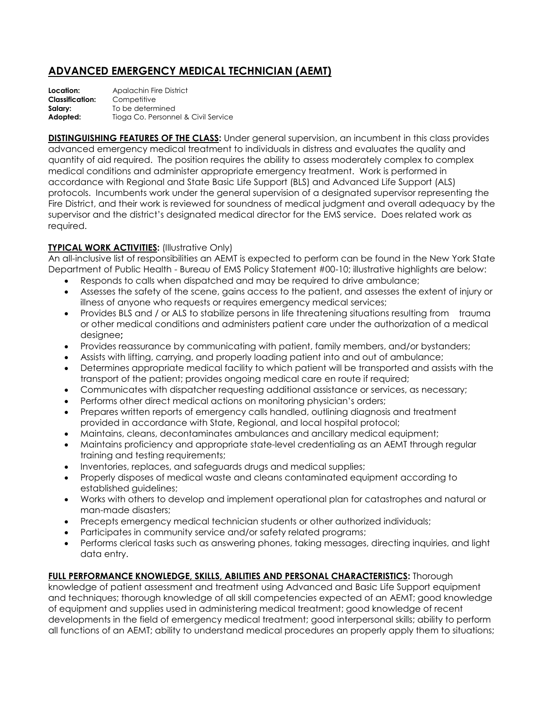## **ADVANCED EMERGENCY MEDICAL TECHNICIAN (AEMT)**

**Location:** Apalachin Fire District **Classification:** Competitive **Salary:** To be determined Adopted: Tioga Co. Personnel & Civil Service

**DISTINGUISHING FEATURES OF THE CLASS:** Under general supervision, an incumbent in this class provides advanced emergency medical treatment to individuals in distress and evaluates the quality and quantity of aid required. The position requires the ability to assess moderately complex to complex medical conditions and administer appropriate emergency treatment. Work is performed in accordance with Regional and State Basic Life Support (BLS) and Advanced Life Support (ALS) protocols. Incumbents work under the general supervision of a designated supervisor representing the Fire District, and their work is reviewed for soundness of medical judgment and overall adequacy by the supervisor and the district's designated medical director for the EMS service. Does related work as required.

## **TYPICAL WORK ACTIVITIES: (Illustrative Only)**

An all-inclusive list of responsibilities an AEMT is expected to perform can be found in the New York State Department of Public Health - Bureau of EMS Policy Statement #00-10; illustrative highlights are below:

- Responds to calls when dispatched and may be required to drive ambulance;
- Assesses the safety of the scene, gains access to the patient, and assesses the extent of injury or illness of anyone who requests or requires emergency medical services;
- Provides BLS and / or ALS to stabilize persons in life threatening situations resulting from trauma or other medical conditions and administers patient care under the authorization of a medical designee**;**
- Provides reassurance by communicating with patient, family members, and/or bystanders;
- Assists with lifting, carrying, and properly loading patient into and out of ambulance;
- Determines appropriate medical facility to which patient will be transported and assists with the transport of the patient; provides ongoing medical care en route if required;
- Communicates with dispatcher requesting additional assistance or services, as necessary;
- Performs other direct medical actions on monitoring physician's orders;
- Prepares written reports of emergency calls handled, outlining diagnosis and treatment provided in accordance with State, Regional, and local hospital protocol;
- Maintains, cleans, decontaminates ambulances and ancillary medical equipment;
- Maintains proficiency and appropriate state-level credentialing as an AEMT through regular training and testing requirements;
- Inventories, replaces, and safeguards drugs and medical supplies;
- Properly disposes of medical waste and cleans contaminated equipment according to established guidelines;
- Works with others to develop and implement operational plan for catastrophes and natural or man-made disasters;
- Precepts emergency medical technician students or other authorized individuals;
- Participates in community service and/or safety related programs;
- Performs clerical tasks such as answering phones, taking messages, directing inquiries, and light data entry.

## **FULL PERFORMANCE KNOWLEDGE, SKILLS, ABILITIES AND PERSONAL CHARACTERISTICS:** Thorough

knowledge of patient assessment and treatment using Advanced and Basic Life Support equipment and techniques; thorough knowledge of all skill competencies expected of an AEMT; good knowledge of equipment and supplies used in administering medical treatment; good knowledge of recent developments in the field of emergency medical treatment; good interpersonal skills; ability to perform all functions of an AEMT; ability to understand medical procedures an properly apply them to situations;